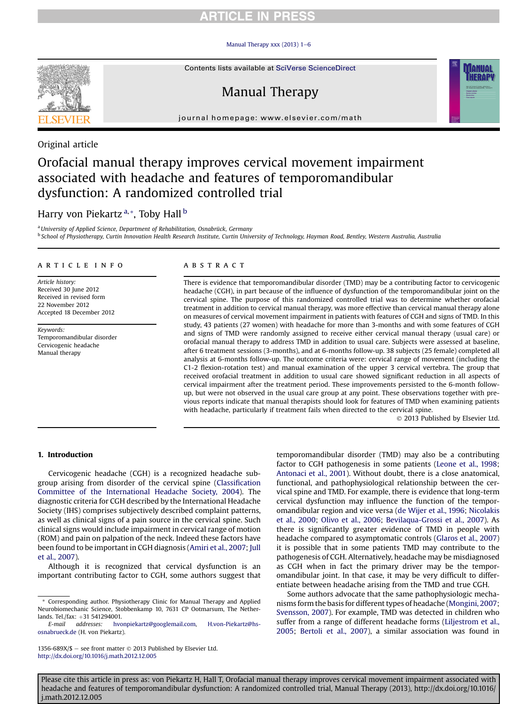### Manual Therapy xxx (2013)  $1-6$  $1-6$



Contents lists available at SciVerse ScienceDirect

# Manual Therapy



### Original article

# Orofacial manual therapy improves cervical movement impairment associated with headache and features of temporomandibular dysfunction: A randomized controlled trial

## Harry von Piekartz<sup>a,\*</sup>, Toby Hall<sup>b</sup>

<sup>a</sup> University of Applied Science, Department of Rehabilitation, Osnabrück, Germany <sup>b</sup> School of Physiotherapy, Curtin Innovation Health Research Institute, Curtin University of Technology, Hayman Road, Bentley, Western Australia, Australia

#### article info

Article history: Received 30 June 2012 Received in revised form 22 November 2012 Accepted 18 December 2012

Keywords: Temporomandibular disorder Cervicogenic headache Manual therapy

### ABSTRACT

There is evidence that temporomandibular disorder (TMD) may be a contributing factor to cervicogenic headache (CGH), in part because of the influence of dysfunction of the temporomandibular joint on the cervical spine. The purpose of this randomized controlled trial was to determine whether orofacial treatment in addition to cervical manual therapy, was more effective than cervical manual therapy alone on measures of cervical movement impairment in patients with features of CGH and signs of TMD. In this study, 43 patients (27 women) with headache for more than 3-months and with some features of CGH and signs of TMD were randomly assigned to receive either cervical manual therapy (usual care) or orofacial manual therapy to address TMD in addition to usual care. Subjects were assessed at baseline, after 6 treatment sessions (3-months), and at 6-months follow-up. 38 subjects (25 female) completed all analysis at 6-months follow-up. The outcome criteria were: cervical range of movement (including the C1-2 flexion-rotation test) and manual examination of the upper 3 cervical vertebra. The group that received orofacial treatment in addition to usual care showed significant reduction in all aspects of cervical impairment after the treatment period. These improvements persisted to the 6-month followup, but were not observed in the usual care group at any point. These observations together with previous reports indicate that manual therapists should look for features of TMD when examining patients with headache, particularly if treatment fails when directed to the cervical spine.

2013 Published by Elsevier Ltd.

### 1. Introduction

Cervicogenic headache (CGH) is a recognized headache subgroup arising from disorder of the cervical spine (Classifi[cation](#page-4-0) [Committee of the International Headache Society, 2004\)](#page-4-0). The diagnostic criteria for CGH described by the International Headache Society (IHS) comprises subjectively described complaint patterns, as well as clinical signs of a pain source in the cervical spine. Such clinical signs would include impairment in cervical range of motion (ROM) and pain on palpation of the neck. Indeed these factors have been found to be important in CGH diagnosis ([Amiri et al., 2007;](#page-4-0) [Jull](#page-5-0) [et al., 2007](#page-5-0)).

Although it is recognized that cervical dysfunction is an important contributing factor to CGH, some authors suggest that

1356-689X/\$ - see front matter  $\odot$  2013 Published by Elsevier Ltd. <http://dx.doi.org/10.1016/j.math.2012.12.005>

temporomandibular disorder (TMD) may also be a contributing factor to CGH pathogenesis in some patients ([Leone et al., 1998;](#page-5-0) [Antonaci et al., 2001](#page-4-0)). Without doubt, there is a close anatomical, functional, and pathophysiological relationship between the cervical spine and TMD. For example, there is evidence that long-term cervical dysfunction may influence the function of the temporomandibular region and vice versa [\(de Wijer et al., 1996](#page-4-0); [Nicolakis](#page-5-0) [et al., 2000;](#page-5-0) [Olivo et al., 2006;](#page-5-0) [Bevilaqua-Grossi et al., 2007](#page-4-0)). As there is significantly greater evidence of TMD in people with headache compared to asymptomatic controls ([Glaros et al., 2007\)](#page-5-0) it is possible that in some patients TMD may contribute to the pathogenesis of CGH. Alternatively, headache may be misdiagnosed as CGH when in fact the primary driver may be the temporomandibular joint. In that case, it may be very difficult to differentiate between headache arising from the TMD and true CGH.

Some authors advocate that the same pathophysiologic mechanisms form the basis for different types of headache ([Mongini, 2007;](#page-5-0) [Svensson, 2007](#page-5-0)). For example, TMD was detected in children who suffer from a range of different headache forms [\(Liljestrom et al.,](#page-5-0) [2005;](#page-5-0) [Bertoli et al., 2007\)](#page-4-0), a similar association was found in

<sup>\*</sup> Corresponding author. Physiotherapy Clinic for Manual Therapy and Applied Neurobiomechanic Science, Stobbenkamp 10, 7631 CP Ootmarsum, The Netherlands. Tel./fax: +31 541294001.<br>E-mail addresses: hvc

[hvonpiekartz@googlemail.com](mailto:hvonpiekartz@googlemail.com), [H.von-Piekartz@hs](mailto:H.von-Piekartz@hs-osnabrueck.de)[osnabrueck.de](mailto:H.von-Piekartz@hs-osnabrueck.de) (H. von Piekartz).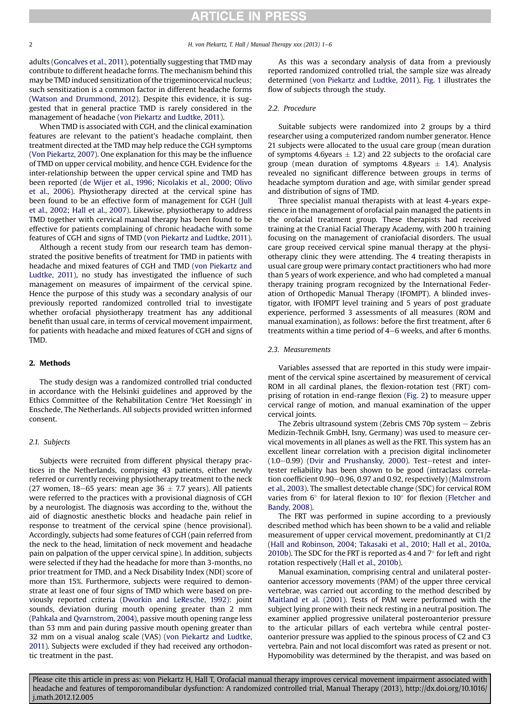adults ([Goncalves et al., 2011\)](#page-5-0), potentially suggesting that TMD may contribute to different headache forms. The mechanism behind this may be TMD induced sensitization of the trigeminocervical nucleus; such sensitization is a common factor in different headache forms ([Watson and Drummond, 2012](#page-5-0)). Despite this evidence, it is suggested that in general practice TMD is rarely considered in the management of headache [\(von Piekartz and Ludtke, 2011](#page-5-0)).

When TMD is associated with CGH, and the clinical examination features are relevant to the patient's headache complaint, then treatment directed at the TMD may help reduce the CGH symptoms ([Von Piekartz, 2007](#page-5-0)). One explanation for this may be the influence of TMD on upper cervical mobility, and hence CGH. Evidence for the inter-relationship between the upper cervical spine and TMD has been reported [\(de Wijer et al., 1996](#page-4-0); [Nicolakis et al., 2000](#page-5-0); [Olivo](#page-5-0) [et al., 2006](#page-5-0)). Physiotherapy directed at the cervical spine has been found to be an effective form of management for CGH ([Jull](#page-5-0) [et al., 2002;](#page-5-0) [Hall et al., 2007](#page-5-0)). Likewise, physiotherapy to address TMD together with cervical manual therapy has been found to be effective for patients complaining of chronic headache with some features of CGH and signs of TMD [\(von Piekartz and Ludtke, 2011\)](#page-5-0).

Although a recent study from our research team has demonstrated the positive benefits of treatment for TMD in patients with headache and mixed features of CGH and TMD [\(von Piekartz and](#page-5-0) [Ludtke, 2011\)](#page-5-0), no study has investigated the influence of such management on measures of impairment of the cervical spine. Hence the purpose of this study was a secondary analysis of our previously reported randomized controlled trial to investigate whether orofacial physiotherapy treatment has any additional benefit than usual care, in terms of cervical movement impairment, for patients with headache and mixed features of CGH and signs of TMD.

### 2. Methods

The study design was a randomized controlled trial conducted in accordance with the Helsinki guidelines and approved by the Ethics Committee of the Rehabilitation Centre 'Het Roessingh' in Enschede, The Netherlands. All subjects provided written informed consent.

### 2.1. Subjects

Subjects were recruited from different physical therapy practices in the Netherlands, comprising 43 patients, either newly referred or currently receiving physiotherapy treatment to the neck (27 women, 18–65 years: mean age 36  $\pm$  7.7 years). All patients were referred to the practices with a provisional diagnosis of CGH by a neurologist. The diagnosis was according to the, without the aid of diagnostic anesthetic blocks and headache pain relief in response to treatment of the cervical spine (hence provisional). Accordingly, subjects had some features of CGH (pain referred from the neck to the head, limitation of neck movement and headache pain on palpation of the upper cervical spine). In addition, subjects were selected if they had the headache for more than 3-months, no prior treatment for TMD, and a Neck Disability Index (NDI) score of more than 15%. Furthermore, subjects were required to demonstrate at least one of four signs of TMD which were based on previously reported criteria [\(Dworkin and LeResche, 1992](#page-5-0)): joint sounds, deviation during mouth opening greater than 2 mm ([Pahkala and Qvarnstrom, 2004\)](#page-5-0), passive mouth opening range less than 53 mm and pain during passive mouth opening greater than 32 mm on a visual analog scale (VAS) [\(von Piekartz and Ludtke,](#page-5-0) [2011\)](#page-5-0). Subjects were excluded if they had received any orthodontic treatment in the past.

As this was a secondary analysis of data from a previously reported randomized controlled trial, the sample size was already determined [\(von Piekartz and Ludtke, 2011\)](#page-5-0). [Fig. 1](#page-2-0) illustrates the flow of subjects through the study.

### 2.2. Procedure

Suitable subjects were randomized into 2 groups by a third researcher using a computerized random number generator. Hence 21 subjects were allocated to the usual care group (mean duration of symptoms 4.6 years  $\pm$  1.2) and 22 subjects to the orofacial care group (mean duration of symptoms 4.8years  $\pm$  1.4). Analysis revealed no significant difference between groups in terms of headache symptom duration and age, with similar gender spread and distribution of signs of TMD.

Three specialist manual therapists with at least 4-years experience in the management of orofacial pain managed the patients in the orofacial treatment group. These therapists had received training at the Cranial Facial Therapy Academy, with 200 h training focusing on the management of craniofacial disorders. The usual care group received cervical spine manual therapy at the physiotherapy clinic they were attending. The 4 treating therapists in usual care group were primary contact practitioners who had more than 5 years of work experience, and who had completed a manual therapy training program recognized by the International Federation of Orthopedic Manual Therapy (IFOMPT). A blinded investigator, with IFOMPT level training and 5 years of post graduate experience, performed 3 assessments of all measures (ROM and manual examination), as follows: before the first treatment, after 6 treatments within a time period of  $4-6$  weeks, and after 6 months.

### 2.3. Measurements

Variables assessed that are reported in this study were impairment of the cervical spine ascertained by measurement of cervical ROM in all cardinal planes, the flexion-rotation test (FRT) comprising of rotation in end-range flexion [\(Fig. 2](#page-2-0)) to measure upper cervical range of motion, and manual examination of the upper cervical joints.

The Zebris ultrasound system (Zebris CMS 70p system  $-$  Zebris Medizin-Technik GmbH, Isny, Germany) was used to measure cervical movements in all planes as well as the FRT. This system has an excellent linear correlation with a precision digital inclinometer  $(1.0-0.99)$  ([Dvir and Prushansky, 2000\)](#page-5-0). Test-retest and intertester reliability has been shown to be good (intraclass correla-tion coefficient 0.90-0.96, 0.97 and 0.92, respectively) ([Malmstrom](#page-5-0) [et al., 2003\)](#page-5-0). The smallest detectable change (SDC) for cervical ROM varies from  $6^{\circ}$  for lateral flexion to  $10^{\circ}$  for flexion ([Fletcher and](#page-5-0) [Bandy, 2008\)](#page-5-0).

The FRT was performed in supine according to a previously described method which has been shown to be a valid and reliable measurement of upper cervical movement, predominantly at C1/2 ([Hall and Robinson, 2004](#page-5-0); [Takasaki et al., 2010](#page-5-0); [Hall et al., 2010a,](#page-5-0) [2010b\)](#page-5-0). The SDC for the FRT is reported as 4 and  $7^{\circ}$  for left and right rotation respectively [\(Hall et al., 2010b](#page-5-0)).

Manual examination, comprising central and unilateral posteroanterior accessory movements (PAM) of the upper three cervical vertebrae, was carried out according to the method described by [Maitland et al. \(2001](#page-5-0)). Tests of PAM were performed with the subject lying prone with their neck resting in a neutral position. The examiner applied progressive unilateral posteroanterior pressure to the articular pillars of each vertebra while central posteroanterior pressure was applied to the spinous process of C2 and C3 vertebra. Pain and not local discomfort was rated as present or not. Hypomobility was determined by the therapist, and was based on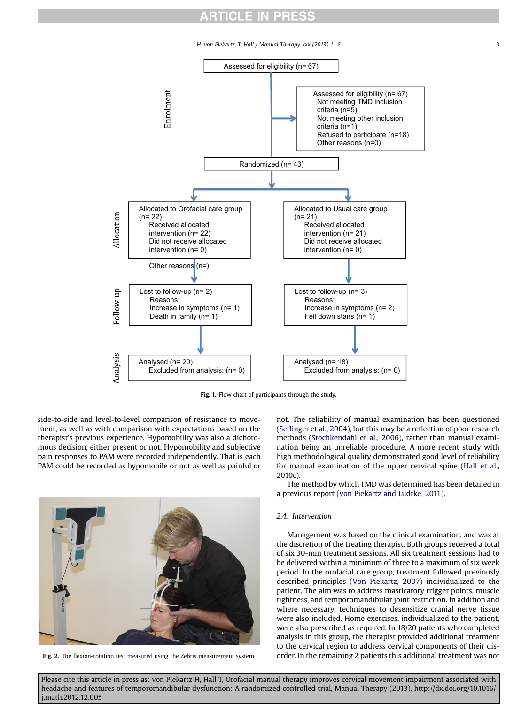H. von Piekartz, T. Hall / Manual Therapy xxx (2013) 1–6 3

<span id="page-2-0"></span>

Fig. 1. Flow chart of participants through the study.

side-to-side and level-to-level comparison of resistance to movement, as well as with comparison with expectations based on the therapist's previous experience. Hypomobility was also a dichotomous decision, either present or not. Hypomobility and subjective pain responses to PAM were recorded independently. That is each PAM could be recorded as hypomobile or not as well as painful or



not. The reliability of manual examination has been questioned (Seffi[nger et al., 2004\)](#page-5-0), but this may be a reflection of poor research methods ([Stochkendahl et al., 2006](#page-5-0)), rather than manual examination being an unreliable procedure. A more recent study with high methodological quality demonstrated good level of reliability for manual examination of the upper cervical spine [\(Hall et al.,](#page-5-0) [2010c\)](#page-5-0).

The method by which TMD was determined has been detailed in a previous report [\(von Piekartz and Ludtke, 2011\)](#page-5-0).

### 2.4. Intervention

Management was based on the clinical examination, and was at the discretion of the treating therapist. Both groups received a total of six 30-min treatment sessions. All six treatment sessions had to be delivered within a minimum of three to a maximum of six week period. In the orofacial care group, treatment followed previously described principles [\(Von Piekartz, 2007\)](#page-5-0) individualized to the patient. The aim was to address masticatory trigger points, muscle tightness, and temporomandibular joint restriction. In addition and where necessary, techniques to desensitize cranial nerve tissue were also included. Home exercises, individualized to the patient, were also prescribed as required. In 18/20 patients who completed analysis in this group, the therapist provided additional treatment to the cervical region to address cervical components of their dis-Fig. 2. The flexion-rotation test measured using the Zebris measurement system. order. In the remaining 2 patients this additional treatment was not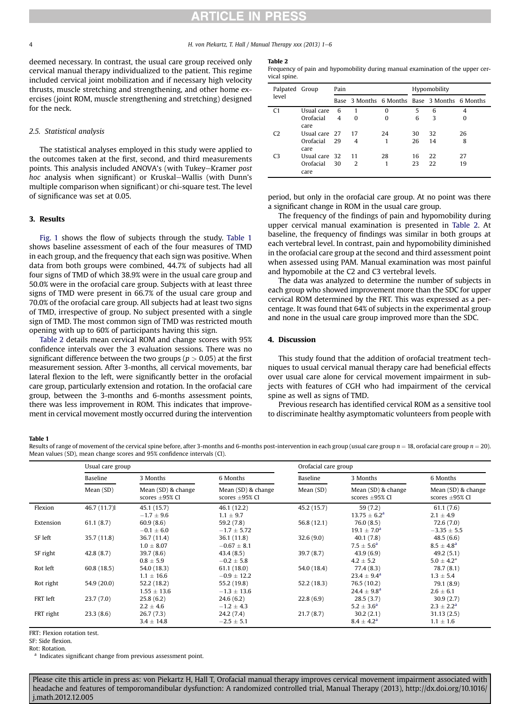4 **H. von Piekartz, T. Hall / Manual Therapy xxx (2013) 1–6** 

deemed necessary. In contrast, the usual care group received only cervical manual therapy individualized to the patient. This regime included cervical joint mobilization and if necessary high velocity thrusts, muscle stretching and strengthening, and other home exercises (joint ROM, muscle strengthening and stretching) designed for the neck.

### 2.5. Statistical analysis

The statistical analyses employed in this study were applied to the outcomes taken at the first, second, and third measurements points. This analysis included ANOVA's (with Tukey-Kramer post hoc analysis when significant) or Kruskal-Wallis (with Dunn's multiple comparison when significant) or chi-square test. The level of significance was set at 0.05.

### 3. Results

[Fig. 1](#page-2-0) shows the flow of subjects through the study. Table 1 shows baseline assessment of each of the four measures of TMD in each group, and the frequency that each sign was positive. When data from both groups were combined, 44.7% of subjects had all four signs of TMD of which 38.9% were in the usual care group and 50.0% were in the orofacial care group. Subjects with at least three signs of TMD were present in 66.7% of the usual care group and 70.0% of the orofacial care group. All subjects had at least two signs of TMD, irrespective of group. No subject presented with a single sign of TMD. The most common sign of TMD was restricted mouth opening with up to 60% of participants having this sign.

Table 2 details mean cervical ROM and change scores with 95% confidence intervals over the 3 evaluation sessions. There was no significant difference between the two groups ( $p > 0.05$ ) at the first measurement session. After 3-months, all cervical movements, bar lateral flexion to the left, were significantly better in the orofacial care group, particularly extension and rotation. In the orofacial care group, between the 3-months and 6-months assessment points, there was less improvement in ROM. This indicates that improvement in cervical movement mostly occurred during the intervention

#### Table 2

Frequency of pain and hypomobility during manual examination of the upper cervical spine.

| Palpated Group<br>level |               | Pain |                                               |          | Hypomobility |    |    |
|-------------------------|---------------|------|-----------------------------------------------|----------|--------------|----|----|
|                         |               |      | Base 3 Months 6 Months Base 3 Months 6 Months |          |              |    |    |
| C1                      | Usual care    | 6    |                                               | $\Omega$ | 5            | 6  | 4  |
|                         | Orofacial     | 4    | 0                                             | $\Omega$ | 6            | 3  | 0  |
|                         | care          |      |                                               |          |              |    |    |
|                         | Usual care 27 |      | 17                                            | 24       | 30           | 32 | 26 |
|                         | Orofacial     | 29   | 4                                             |          | 26           | 14 | 8  |
|                         | care          |      |                                               |          |              |    |    |
| СЗ                      | Usual care 32 |      | 11                                            | 28       | 16           | 22 | 27 |
|                         | Orofacial     | 30   | 2                                             |          | 23           | 22 | 19 |
|                         | care          |      |                                               |          |              |    |    |

period, but only in the orofacial care group. At no point was there a significant change in ROM in the usual care group.

The frequency of the findings of pain and hypomobility during upper cervical manual examination is presented in Table 2. At baseline, the frequency of findings was similar in both groups at each vertebral level. In contrast, pain and hypomobility diminished in the orofacial care group at the second and third assessment point when assessed using PAM. Manual examination was most painful and hypomobile at the C2 and C3 vertebral levels.

The data was analyzed to determine the number of subjects in each group who showed improvement more than the SDC for upper cervical ROM determined by the FRT. This was expressed as a percentage. It was found that 64% of subjects in the experimental group and none in the usual care group improved more than the SDC.

### 4. Discussion

This study found that the addition of orofacial treatment techniques to usual cervical manual therapy care had beneficial effects over usual care alone for cervical movement impairment in subjects with features of CGH who had impairment of the cervical spine as well as signs of TMD.

Previous research has identified cervical ROM as a sensitive tool to discriminate healthy asymptomatic volunteers from people with

### Table 1

Results of range of movement of the cervical spine before, after 3-months and 6-months post-intervention in each group (usual care group  $n = 18$ , orofacial care group  $n = 20$ ). Mean values (SD), mean change scores and 95% confidence intervals (CI).

|           | Usual care group |                                           |                                           | Orofacial care group |                                           |                                           |  |
|-----------|------------------|-------------------------------------------|-------------------------------------------|----------------------|-------------------------------------------|-------------------------------------------|--|
|           | Baseline         | 3 Months                                  | 6 Months                                  | Baseline             | 3 Months                                  | 6 Months                                  |  |
|           | Mean (SD)        | Mean (SD) & change<br>scores $\pm$ 95% CI | Mean (SD) & change<br>scores $\pm$ 95% CI | Mean $(SD)$          | Mean (SD) & change<br>scores $\pm$ 95% CI | Mean (SD) & change<br>scores $\pm$ 95% CI |  |
| Flexion   | 46.7 (11.7)      | 45.1 (15.7)<br>$-1.7 \pm 9.6$             | 46.1 (12.2)<br>$1.1 \pm 9.7$              | 45.2 (15.7)          | 59(7.2)<br>$13.75 \pm 6.2^a$              | 61.1(7.6)<br>$2.1 \pm 4.9$                |  |
| Extension | 61.1(8.7)        | 60.9(8.6)<br>$-0.1 \pm 6.0$               | 59.2(7.8)<br>$-1.7 \pm 5.72$              | 56.8 (12.1)          | 76.0(8.5)<br>$19.1 \pm 7.0^a$             | 72.6(7.0)<br>$-3.35 \pm 5.5$              |  |
| SF left   | 35.7(11.8)       | 36.7(11.4)<br>$1.0 \pm 8.07$              | 36.1(11.8)<br>$-0.67 \pm 8.1$             | 32.6(9.0)            | 40.1(7.8)<br>$7.5 \pm 5.6^{\rm a}$        | 48.5(6.6)<br>$8.5 \pm 4.8^{\rm a}$        |  |
| SF right  | 42.8(8.7)        | 39.7(8.6)<br>$0.8 \pm 5.9$                | 43.4(8.5)<br>$-0.2 \pm 5.8$               | 39.7(8.7)            | 43.9(6.9)<br>$4.2 \pm 5.2$                | 49.2(5.1)<br>$5.0 \pm 4.2^*$              |  |
| Rot left  | 60.8(18.5)       | 54.0 (18.3)<br>$1.1 \pm 16.6$             | 61.1(18.0)<br>$-0.9 \pm 12.2$             | 54.0 (18.4)          | 77.4(8.3)<br>$23.4 \pm 9.4^{\circ}$       | 78.7(8.1)<br>$1.3 \pm 5.4$                |  |
| Rot right | 54.9 (20.0)      | 52.2(18.2)<br>$1.55 \pm 13.6$             | 55.2 (19.8)<br>$-1.3 \pm 13.6$            | 52.2(18.3)           | 76.5 (10.2)<br>$24.4 \pm 9.8^{\rm a}$     | 79.1 (8.9)<br>$2.6 \pm 6.1$               |  |
| FRT left  | 23.7(7.0)        | 25.8(6.2)<br>$2.2 \pm 4.6$                | 24.6(6.2)<br>$-1.2 \pm 4.3$               | 22.8(6.9)            | 28.5(3.7)<br>$5.2 \pm 3.6^a$              | 30.9(2.7)<br>$2.3 \pm 2.2^a$              |  |
| FRT right | 23.3(8.6)        | 26.7(7.3)<br>$3.4 \pm 14.8$               | 24.2 (7.4)<br>$-2.5 \pm 5.1$              | 21.7(8.7)            | 30.2(2.1)<br>$8.4 \pm 4.2^{\rm a}$        | 31.13(2.5)<br>$1.1 \pm 1.6$               |  |

FRT: Flexion rotation test.

SF: Side flexion.

Rot: Rotation.

<sup>a</sup> Indicates significant change from previous assessment point.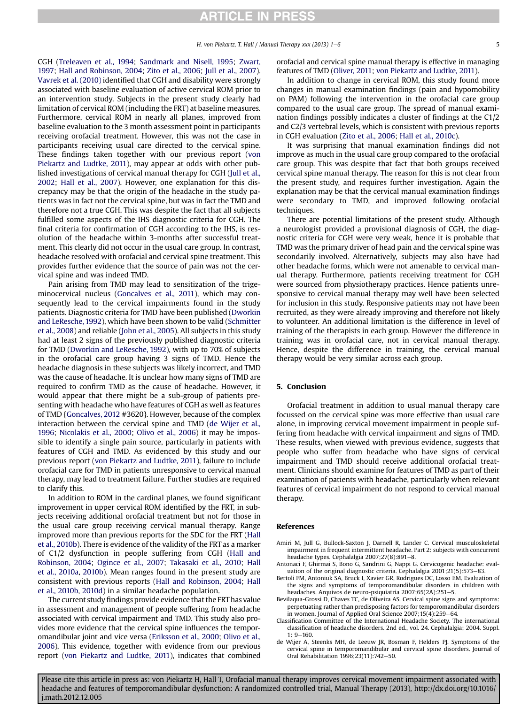H. von Piekartz, T. Hall / Manual Therapy xxx (2013) 1e6 5

<span id="page-4-0"></span>CGH [\(Treleaven et al., 1994;](#page-5-0) [Sandmark and Nisell, 1995;](#page-5-0) [Zwart,](#page-5-0) [1997;](#page-5-0) [Hall and Robinson, 2004](#page-5-0); [Zito et al., 2006;](#page-5-0) [Jull et al., 2007\)](#page-5-0). [Vavrek et al. \(2010\)](#page-5-0) identified that CGH and disability were strongly associated with baseline evaluation of active cervical ROM prior to an intervention study. Subjects in the present study clearly had limitation of cervical ROM (including the FRT) at baseline measures. Furthermore, cervical ROM in nearly all planes, improved from baseline evaluation to the 3 month assessment point in participants receiving orofacial treatment. However, this was not the case in participants receiving usual care directed to the cervical spine. These findings taken together with our previous report [\(von](#page-5-0) [Piekartz and Ludtke, 2011\)](#page-5-0), may appear at odds with other published investigations of cervical manual therapy for CGH [\(Jull et al.,](#page-5-0) [2002;](#page-5-0) [Hall et al., 2007](#page-5-0)). However, one explanation for this discrepancy may be that the origin of the headache in the study patients was in fact not the cervical spine, but was in fact the TMD and therefore not a true CGH. This was despite the fact that all subjects fulfilled some aspects of the IHS diagnostic criteria for CGH. The final criteria for confirmation of CGH according to the IHS, is resolution of the headache within 3-months after successful treatment. This clearly did not occur in the usual care group. In contrast, headache resolved with orofacial and cervical spine treatment. This provides further evidence that the source of pain was not the cervical spine and was indeed TMD.

Pain arising from TMD may lead to sensitization of the trigeminocervical nucleus [\(Goncalves et al., 2011](#page-5-0)), which may consequently lead to the cervical impairments found in the study patients. Diagnostic criteria for TMD have been published ([Dworkin](#page-5-0) [and LeResche, 1992](#page-5-0)), which have been shown to be valid ([Schmitter](#page-5-0) [et al., 2008](#page-5-0)) and reliable ([John et al., 2005](#page-5-0)). All subjects in this study had at least 2 signs of the previously published diagnostic criteria for TMD [\(Dworkin and LeResche, 1992](#page-5-0)), with up to 70% of subjects in the orofacial care group having 3 signs of TMD. Hence the headache diagnosis in these subjects was likely incorrect, and TMD was the cause of headache. It is unclear how many signs of TMD are required to confirm TMD as the cause of headache. However, it would appear that there might be a sub-group of patients presenting with headache who have features of CGH as well as features of TMD {[Goncalves, 2012](#page-5-0) #3620}. However, because of the complex interaction between the cervical spine and TMD (de Wijer et al., 1996; [Nicolakis et al., 2000](#page-5-0); [Olivo et al., 2006](#page-5-0)) it may be impossible to identify a single pain source, particularly in patients with features of CGH and TMD. As evidenced by this study and our previous report ([von Piekartz and Ludtke, 2011](#page-5-0)), failure to include orofacial care for TMD in patients unresponsive to cervical manual therapy, may lead to treatment failure. Further studies are required to clarify this.

In addition to ROM in the cardinal planes, we found significant improvement in upper cervical ROM identified by the FRT, in subjects receiving additional orofacial treatment but not for those in the usual care group receiving cervical manual therapy. Range improved more than previous reports for the SDC for the FRT [\(Hall](#page-5-0) [et al., 2010b\)](#page-5-0). There is evidence of the validity of the FRT as a marker of C1/2 dysfunction in people suffering from CGH ([Hall and](#page-5-0) [Robinson, 2004;](#page-5-0) [Ogince et al., 2007;](#page-5-0) [Takasaki et al., 2010;](#page-5-0) [Hall](#page-5-0) [et al., 2010a,](#page-5-0) [2010b](#page-5-0)). Mean ranges found in the present study are consistent with previous reports ([Hall and Robinson, 2004;](#page-5-0) [Hall](#page-5-0) [et al., 2010b](#page-5-0), [2010d\)](#page-5-0) in a similar headache population.

The current study findings provide evidence that the FRT has value in assessment and management of people suffering from headache associated with cervical impairment and TMD. This study also provides more evidence that the cervical spine influences the temporomandibular joint and vice versa [\(Eriksson et al., 2000;](#page-5-0) [Olivo et al.,](#page-5-0) [2006\)](#page-5-0), This evidence, together with evidence from our previous report ([von Piekartz and Ludtke, 2011\)](#page-5-0), indicates that combined orofacial and cervical spine manual therapy is effective in managing features of TMD ([Oliver, 2011;](#page-5-0) [von Piekartz and Ludtke, 2011\)](#page-5-0).

In addition to change in cervical ROM, this study found more changes in manual examination findings (pain and hypomobility on PAM) following the intervention in the orofacial care group compared to the usual care group. The spread of manual examination findings possibly indicates a cluster of findings at the C1/2 and C2/3 vertebral levels, which is consistent with previous reports in CGH evaluation ([Zito et al., 2006;](#page-5-0) [Hall et al., 2010c\)](#page-5-0).

It was surprising that manual examination findings did not improve as much in the usual care group compared to the orofacial care group. This was despite that fact that both groups received cervical spine manual therapy. The reason for this is not clear from the present study, and requires further investigation. Again the explanation may be that the cervical manual examination findings were secondary to TMD, and improved following orofacial techniques.

There are potential limitations of the present study. Although a neurologist provided a provisional diagnosis of CGH, the diagnostic criteria for CGH were very weak, hence it is probable that TMD was the primary driver of head pain and the cervical spine was secondarily involved. Alternatively, subjects may also have had other headache forms, which were not amenable to cervical manual therapy. Furthermore, patients receiving treatment for CGH were sourced from physiotherapy practices. Hence patients unresponsive to cervical manual therapy may well have been selected for inclusion in this study. Responsive patients may not have been recruited, as they were already improving and therefore not likely to volunteer. An additional limitation is the difference in level of training of the therapists in each group. However the difference in training was in orofacial care, not in cervical manual therapy. Hence, despite the difference in training, the cervical manual therapy would be very similar across each group.

#### 5. Conclusion

Orofacial treatment in addition to usual manual therapy care focussed on the cervical spine was more effective than usual care alone, in improving cervical movement impairment in people suffering from headache with cervical impairment and signs of TMD. These results, when viewed with previous evidence, suggests that people who suffer from headache who have signs of cervical impairment and TMD should receive additional orofacial treatment. Clinicians should examine for features of TMD as part of their examination of patients with headache, particularly when relevant features of cervical impairment do not respond to cervical manual therapy.

#### References

- Amiri M, Jull G, Bullock-Saxton J, Darnell R, Lander C. Cervical musculoskeletal impairment in frequent intermittent headache. Part 2: subjects with concurrent headache types. Cephalalgia 2007;27(8):891-8.
- Antonaci F, Ghirmai S, Bono G, Sandrini G, Nappi G. Cervicogenic headache: evaluation of the original diagnostic criteria. Cephalalgia 2001;21(5):573-83.
- Bertoli FM, Antoniuk SA, Bruck I, Xavier GR, Rodrigues DC, Losso EM. Evaluation of the signs and symptoms of temporomandibular disorders in children with headaches. Arquivos de neuro-psiquiatria 2007;65(2A):251-5.
- Bevilaqua-Grossi D, Chaves TC, de Oliveira AS. Cervical spine signs and symptoms: perpetuating rather than predisposing factors for temporomandibular disorders in women. Journal of Applied Oral Science 2007;15(4):259-64.
- Classification Committee of the International Headache Society. The international classification of headache disorders. 2nd ed., vol. 24. Cephalalgia; 2004. Suppl.  $1: 9 - 160.$
- de Wijer A, Steenks MH, de Leeuw JR, Bosman F, Helders PJ. Symptoms of the cervical spine in temporomandibular and cervical spine disorders. Journal of Oral Rehabilitation 1996;23(11):742-50.